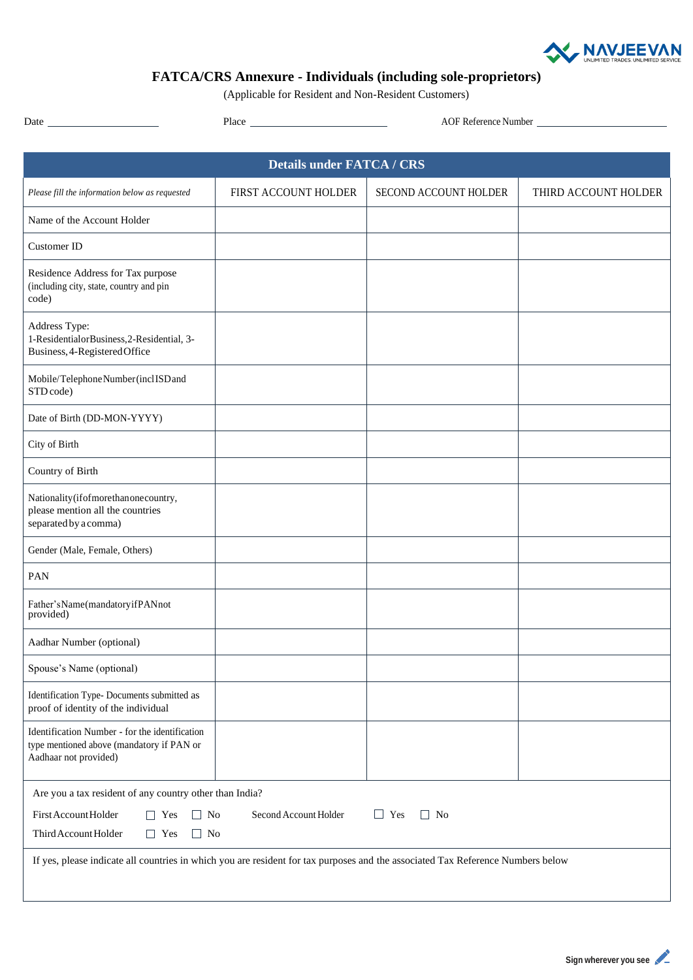

## **FATCA/CRS Annexure - Individuals (including sole-proprietors)**

(Applicable for Resident and Non-Resident Customers)

Date Place AOF Reference Number

| <b>Details under FATCA / CRS</b>                                                                                                                       |                      |                       |                      |  |  |  |
|--------------------------------------------------------------------------------------------------------------------------------------------------------|----------------------|-----------------------|----------------------|--|--|--|
| Please fill the information below as requested                                                                                                         | FIRST ACCOUNT HOLDER | SECOND ACCOUNT HOLDER | THIRD ACCOUNT HOLDER |  |  |  |
| Name of the Account Holder                                                                                                                             |                      |                       |                      |  |  |  |
| Customer ID                                                                                                                                            |                      |                       |                      |  |  |  |
| Residence Address for Tax purpose<br>(including city, state, country and pin<br>code)                                                                  |                      |                       |                      |  |  |  |
| Address Type:<br>1-ResidentialorBusiness, 2-Residential, 3-<br>Business, 4-Registered Office                                                           |                      |                       |                      |  |  |  |
| Mobile/Telephone Number (inclISD and<br>STD code)                                                                                                      |                      |                       |                      |  |  |  |
| Date of Birth (DD-MON-YYYY)                                                                                                                            |                      |                       |                      |  |  |  |
| City of Birth                                                                                                                                          |                      |                       |                      |  |  |  |
| Country of Birth                                                                                                                                       |                      |                       |                      |  |  |  |
| Nationality (if of more than one country,<br>please mention all the countries<br>separated by a comma)                                                 |                      |                       |                      |  |  |  |
| Gender (Male, Female, Others)                                                                                                                          |                      |                       |                      |  |  |  |
| PAN                                                                                                                                                    |                      |                       |                      |  |  |  |
| Father'sName(mandatoryifPANnot<br>provided)                                                                                                            |                      |                       |                      |  |  |  |
| Aadhar Number (optional)                                                                                                                               |                      |                       |                      |  |  |  |
| Spouse's Name (optional)                                                                                                                               |                      |                       |                      |  |  |  |
| Identification Type- Documents submitted as<br>proof of identity of the individual                                                                     |                      |                       |                      |  |  |  |
| Identification Number - for the identification<br>type mentioned above (mandatory if PAN or<br>Aadhaar not provided)                                   |                      |                       |                      |  |  |  |
| Are you a tax resident of any country other than India?                                                                                                |                      |                       |                      |  |  |  |
| First Account Holder<br>Second Account Holder<br>$\Box$ No<br>$\Box$ Yes<br>$\Box$ Yes<br>$\Box$ No<br>Third Account Holder<br>$\Box$ Yes<br>$\Box$ No |                      |                       |                      |  |  |  |
| If yes, please indicate all countries in which you are resident for tax purposes and the associated Tax Reference Numbers below                        |                      |                       |                      |  |  |  |
|                                                                                                                                                        |                      |                       |                      |  |  |  |